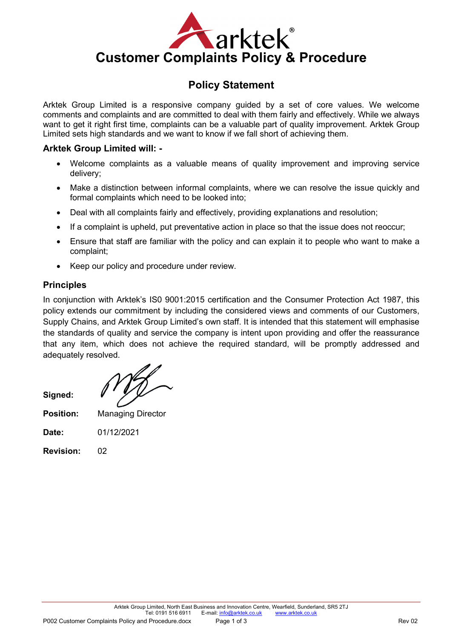

# **Policy Statement**

Arktek Group Limited is a responsive company guided by a set of core values. We welcome comments and complaints and are committed to deal with them fairly and effectively. While we always want to get it right first time, complaints can be a valuable part of quality improvement. Arktek Group Limited sets high standards and we want to know if we fall short of achieving them.

## **Arktek Group Limited will: -**

- Welcome complaints as a valuable means of quality improvement and improving service delivery;
- Make a distinction between informal complaints, where we can resolve the issue quickly and formal complaints which need to be looked into;
- Deal with all complaints fairly and effectively, providing explanations and resolution;
- If a complaint is upheld, put preventative action in place so that the issue does not reoccur;
- Ensure that staff are familiar with the policy and can explain it to people who want to make a complaint;
- Keep our policy and procedure under review.

## **Principles**

In conjunction with Arktek's IS0 9001:2015 certification and the Consumer Protection Act 1987, this policy extends our commitment by including the considered views and comments of our Customers, Supply Chains, and Arktek Group Limited's own staff. It is intended that this statement will emphasise the standards of quality and service the company is intent upon providing and offer the reassurance that any item, which does not achieve the required standard, will be promptly addressed and adequately resolved.

**Position:** Managing Director

**Date:** 01/12/2021

**Revision:** 02

**Signed:**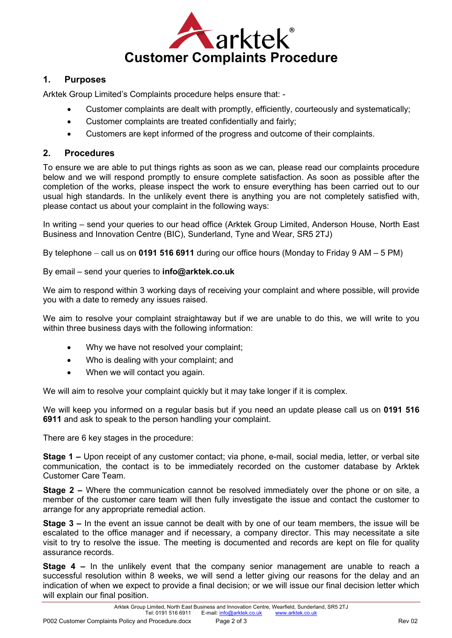

### **1. Purposes**

Arktek Group Limited's Complaints procedure helps ensure that: -

- Customer complaints are dealt with promptly, efficiently, courteously and systematically;
- Customer complaints are treated confidentially and fairly;
- Customers are kept informed of the progress and outcome of their complaints.

#### **2. Procedures**

To ensure we are able to put things rights as soon as we can, please read our complaints procedure below and we will respond promptly to ensure complete satisfaction. As soon as possible after the completion of the works, please inspect the work to ensure everything has been carried out to our usual high standards. In the unlikely event there is anything you are not completely satisfied with, please contact us about your complaint in the following ways:

In writing – send your queries to our head office (Arktek Group Limited, Anderson House, North East Business and Innovation Centre (BIC), Sunderland, Tyne and Wear, SR5 2TJ)

By telephone – call us on **0191 516 6911** during our office hours (Monday to Friday 9 AM – 5 PM)

#### By email – send your queries to **info@arktek.co.uk**

We aim to respond within 3 working days of receiving your complaint and where possible, will provide you with a date to remedy any issues raised.

We aim to resolve your complaint straightaway but if we are unable to do this, we will write to you within three business days with the following information:

- Why we have not resolved your complaint;
- Who is dealing with your complaint; and
- When we will contact you again.

We will aim to resolve your complaint quickly but it may take longer if it is complex.

We will keep you informed on a regular basis but if you need an update please call us on **0191 516 6911** and ask to speak to the person handling your complaint.

There are 6 key stages in the procedure:

**Stage 1 –** Upon receipt of any customer contact; via phone, e-mail, social media, letter, or verbal site communication, the contact is to be immediately recorded on the customer database by Arktek Customer Care Team.

**Stage 2 –** Where the communication cannot be resolved immediately over the phone or on site, a member of the customer care team will then fully investigate the issue and contact the customer to arrange for any appropriate remedial action.

**Stage 3 –** In the event an issue cannot be dealt with by one of our team members, the issue will be escalated to the office manager and if necessary, a company director. This may necessitate a site visit to try to resolve the issue. The meeting is documented and records are kept on file for quality assurance records.

**Stage 4 –** In the unlikely event that the company senior management are unable to reach a successful resolution within 8 weeks, we will send a letter giving our reasons for the delay and an indication of when we expect to provide a final decision; or we will issue our final decision letter which will explain our final position.